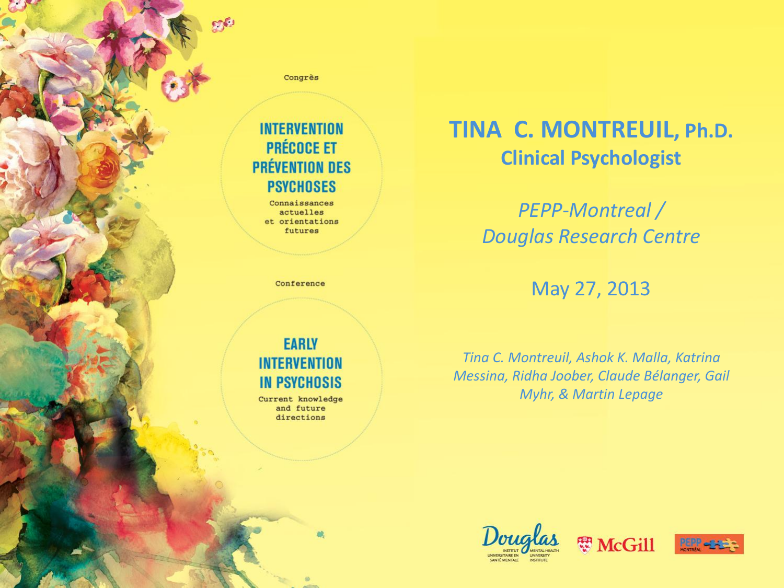Congrès

**SOFU** 

#### **INTERVENTION PRÉCOCE ET PRÉVENTION DES PSYCHOSES**

Connaissances actuelles et orientations futures

Conference

#### **EARLY INTERVENTION IN PSYCHOSIS**

Current knowledge and future directions

#### **TINA C. MONTREUIL, Ph.D. Clinical Psychologist**

*PEPP-Montreal / Douglas Research Centre*

May 27, 2013

*Tina C. Montreuil, Ashok K. Malla, Katrina Messina, Ridha Joober, Claude Bélanger, Gail Myhr, & Martin Lepage*





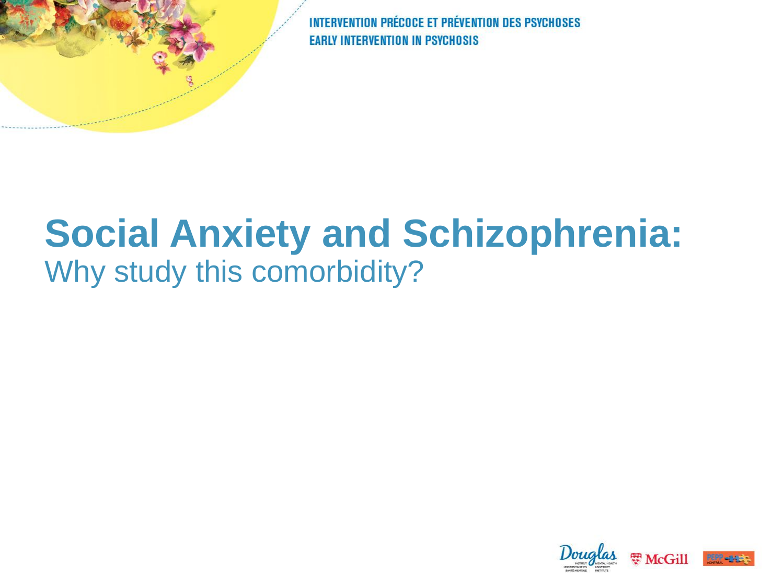# **Social Anxiety and Schizophrenia:**  Why study this comorbidity?

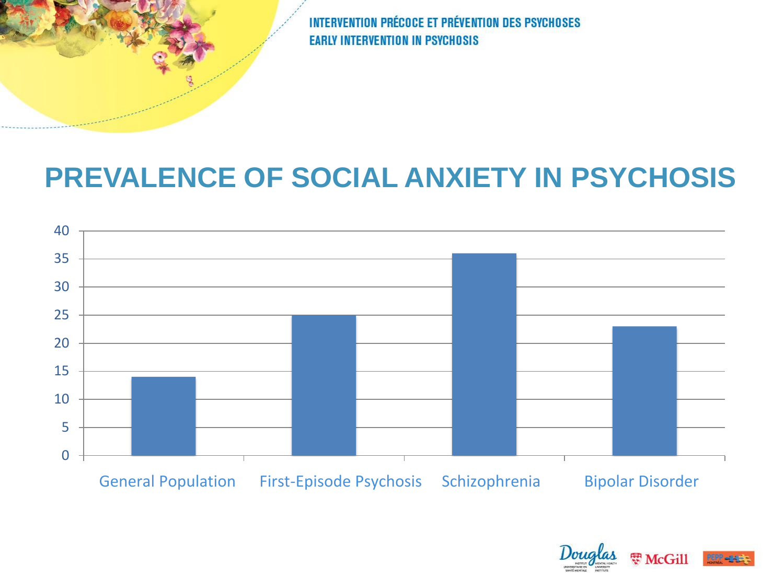#### **PREVALENCE OF SOCIAL ANXIETY IN PSYCHOSIS**



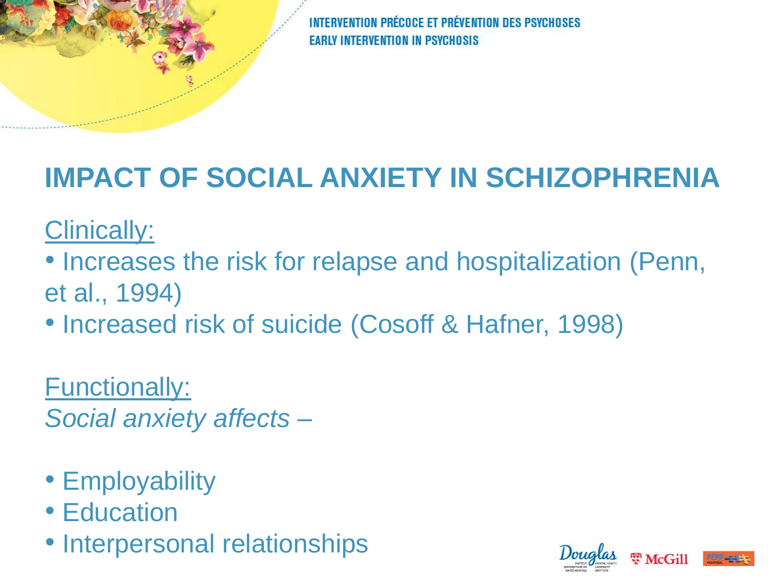#### **IMPACT OF SOCIAL ANXIETY IN SCHIZOPHRENIA**

Clinically:

- Increases the risk for relapse and hospitalization (Penn, et al., 1994)
- Increased risk of suicide (Cosoff & Hafner, 1998)

Functionally: *Social anxiety affects –*

- Employability
- Education
- Interpersonal relationships

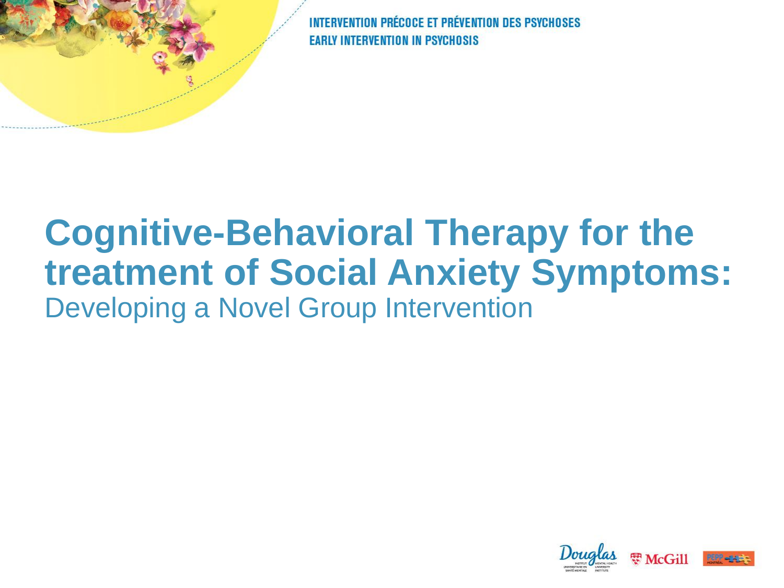## **Cognitive-Behavioral Therapy for the treatment of Social Anxiety Symptoms:**  Developing a Novel Group Intervention

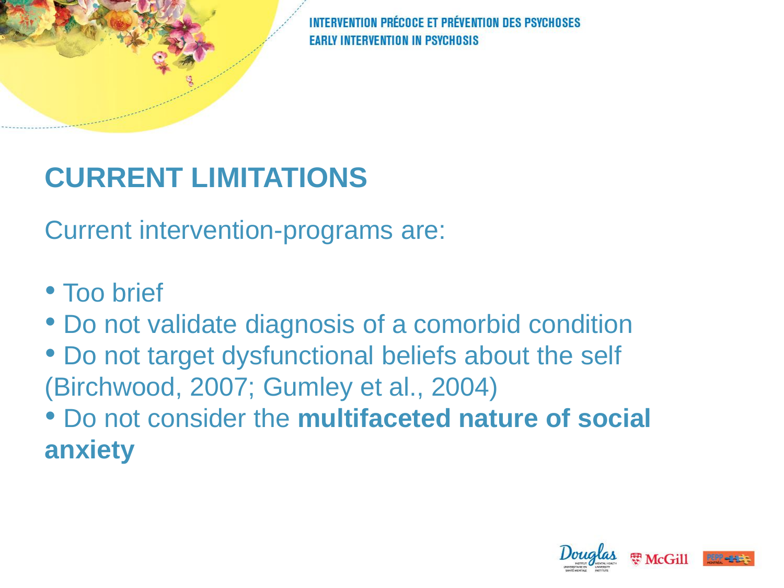### **CURRENT LIMITATIONS**

Current intervention-programs are:

- Too brief
- Do not validate diagnosis of a comorbid condition
- Do not target dysfunctional beliefs about the self (Birchwood, 2007; Gumley et al., 2004)
- Do not consider the **multifaceted nature of social anxiety**

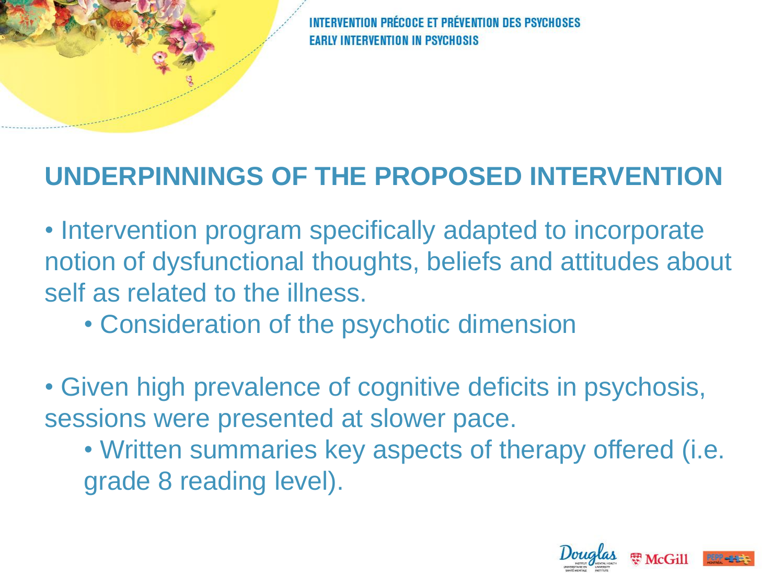#### **UNDERPINNINGS OF THE PROPOSED INTERVENTION**

- Intervention program specifically adapted to incorporate notion of dysfunctional thoughts, beliefs and attitudes about self as related to the illness.
	- Consideration of the psychotic dimension
- Given high prevalence of cognitive deficits in psychosis, sessions were presented at slower pace.
	- Written summaries key aspects of therapy offered (i.e. grade 8 reading level).

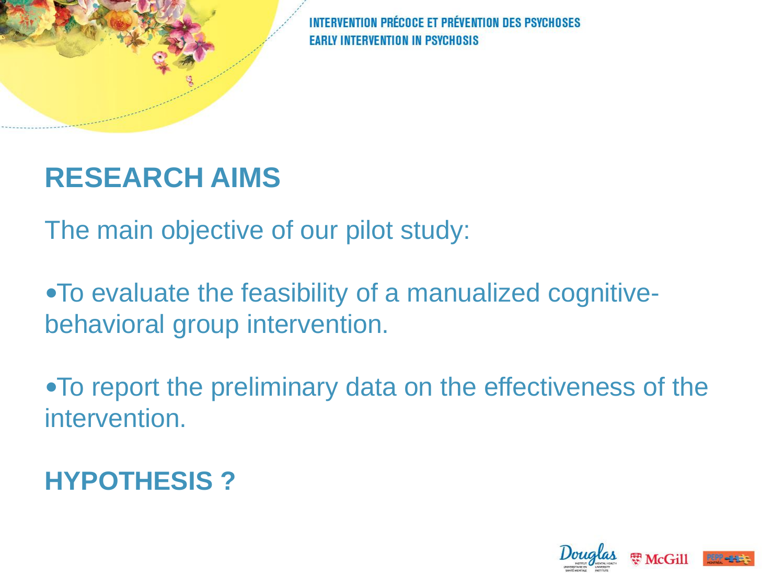

#### **RESEARCH AIMS**

The main objective of our pilot study:

To evaluate the feasibility of a manualized cognitivebehavioral group intervention.

To report the preliminary data on the effectiveness of the intervention.

**HYPOTHESIS ?**

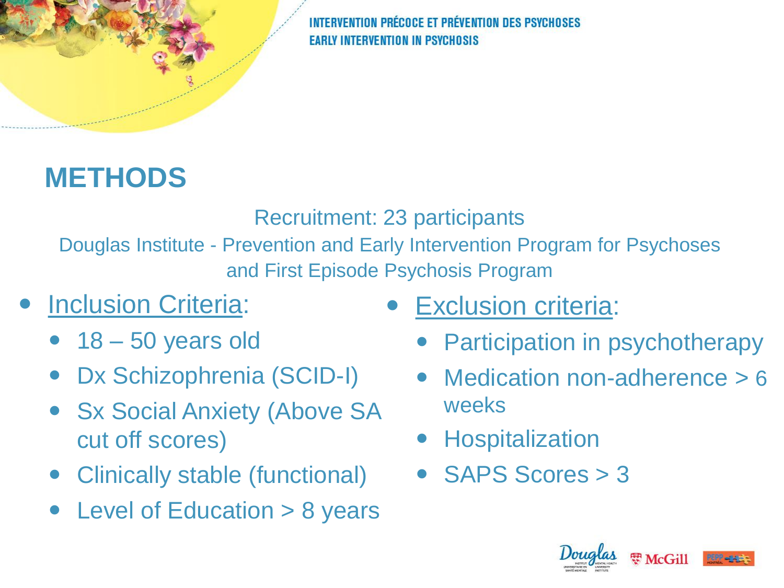## **METHODS**

Recruitment: 23 participants

Douglas Institute - Prevention and Early Intervention Program for Psychoses and First Episode Psychosis Program

- Inclusion Criteria:
	- $\bullet$  18 50 years old
	- Dx Schizophrenia (SCID-I)
	- Sx Social Anxiety (Above SA cut off scores)
	- Clinically stable (functional)
	- Level of Education > 8 years
- Exclusion criteria:
	- Participation in psychotherapy
	- Medication non-adherence > 6 weeks
	- **Hospitalization**
	- SAPS Scores > 3



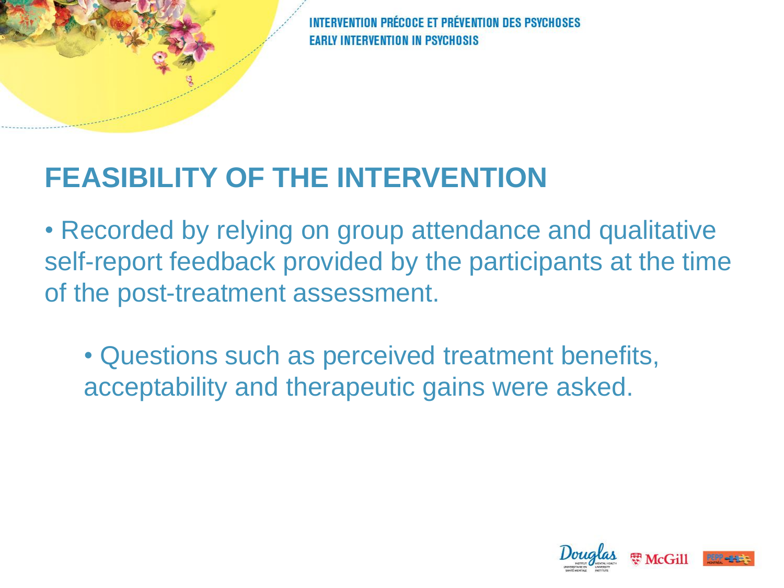#### **FEASIBILITY OF THE INTERVENTION**

• Recorded by relying on group attendance and qualitative self-report feedback provided by the participants at the time of the post-treatment assessment.

• Questions such as perceived treatment benefits, acceptability and therapeutic gains were asked.

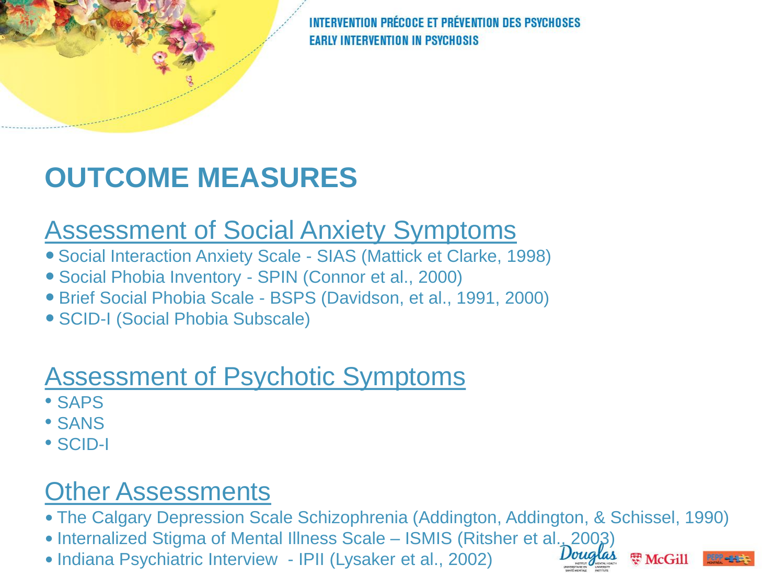## **OUTCOME MEASURES**

#### Assessment of Social Anxiety Symptoms

- Social Interaction Anxiety Scale SIAS (Mattick et Clarke, 1998)
- Social Phobia Inventory SPIN (Connor et al., 2000)
- Brief Social Phobia Scale BSPS (Davidson, et al., 1991, 2000)
- SCID-I (Social Phobia Subscale)

#### Assessment of Psychotic Symptoms

- SAPS
- SANS
- SCID-I

#### Other Assessments

- The Calgary Depression Scale Schizophrenia (Addington, Addington, & Schissel, 1990)
- Internalized Stigma of Mental Illness Scale ISMIS (Ritsher et al., 2003)
- Indiana Psychiatric Interview IPII (Lysaker et al., 2002)



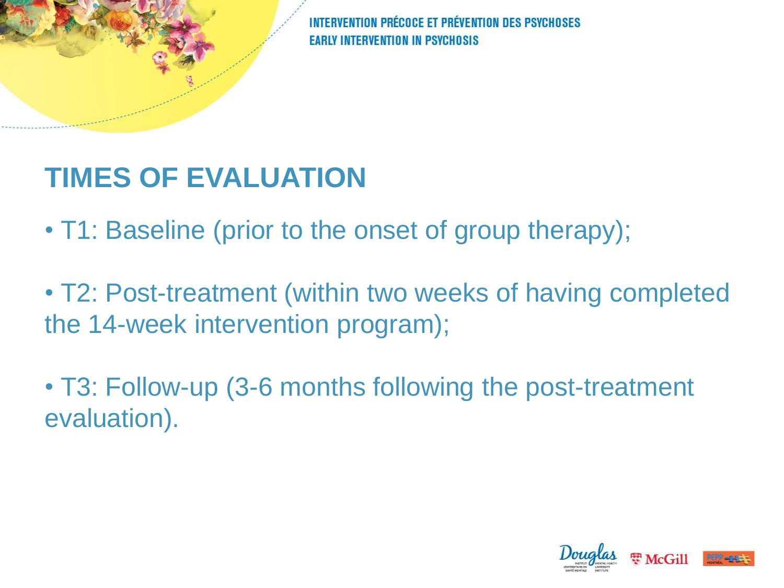#### **TIMES OF EVALUATION**

• T1: Baseline (prior to the onset of group therapy);

• T2: Post-treatment (within two weeks of having completed the 14-week intervention program);

• T3: Follow-up (3-6 months following the post-treatment evaluation).

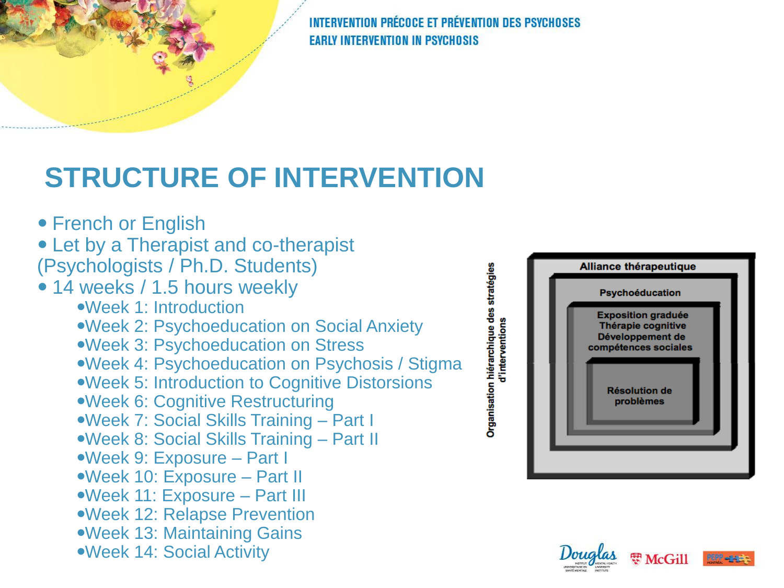### **STRUCTURE OF INTERVENTION**

- French or English
- Let by a Therapist and co-therapist
- (Psychologists / Ph.D. Students)
- 14 weeks / 1.5 hours weekly
	- Week 1: Introduction
	- Week 2: Psychoeducation on Social Anxiety
	- Week 3: Psychoeducation on Stress
	- Week 4: Psychoeducation on Psychosis / Stigma
	- Week 5: Introduction to Cognitive Distorsions
	- Week 6: Cognitive Restructuring
	- Week 7: Social Skills Training Part I
	- Week 8: Social Skills Training Part II
	- Week 9: Exposure Part I
	- Week 10: Exposure Part II
	- Week 11: Exposure Part III
	- Week 12: Relapse Prevention
	- Week 13: Maintaining Gains
	- Week 14: Social Activity

Organisation hiérarchique des stratégies<br>d'interventions





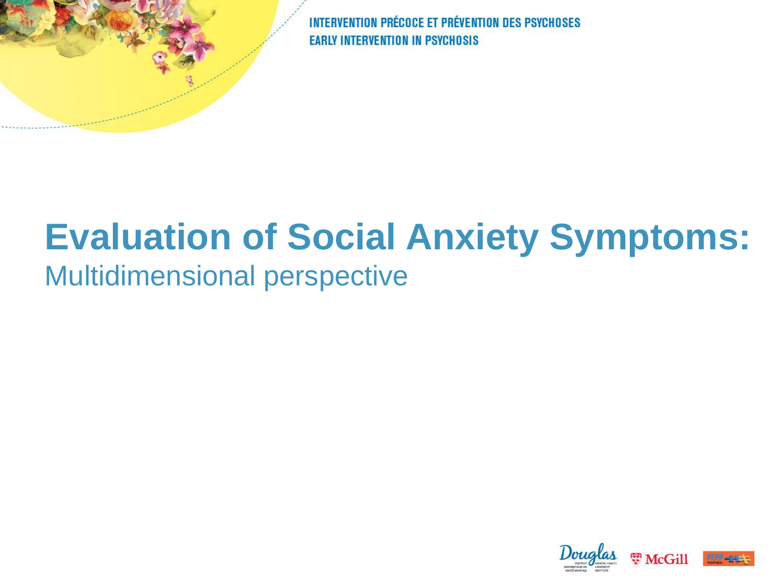# **Evaluation of Social Anxiety Symptoms:**

#### Multidimensional perspective

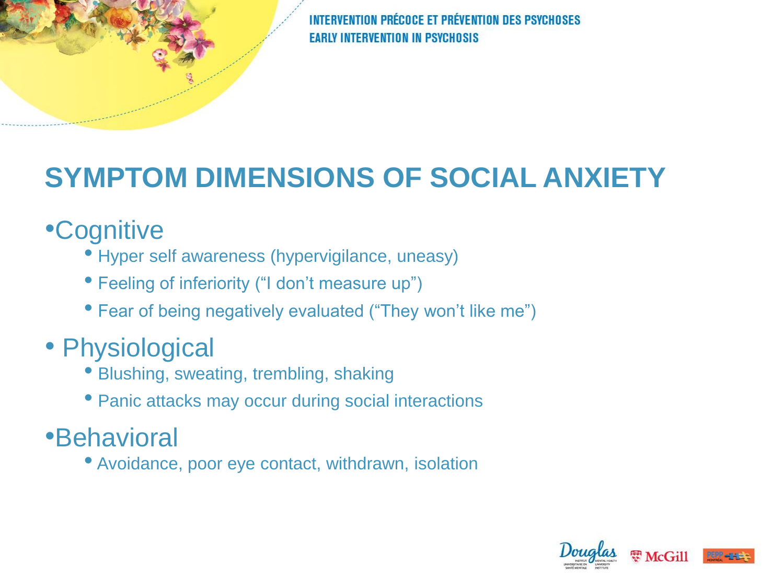## **SYMPTOM DIMENSIONS OF SOCIAL ANXIETY**

#### •Cognitive

- Hyper self awareness (hypervigilance, uneasy)
- Feeling of inferiority ("I don't measure up")
- Fear of being negatively evaluated ("They won't like me")

#### • Physiological

- Blushing, sweating, trembling, shaking
- Panic attacks may occur during social interactions

#### •Behavioral

• Avoidance, poor eye contact, withdrawn, isolation

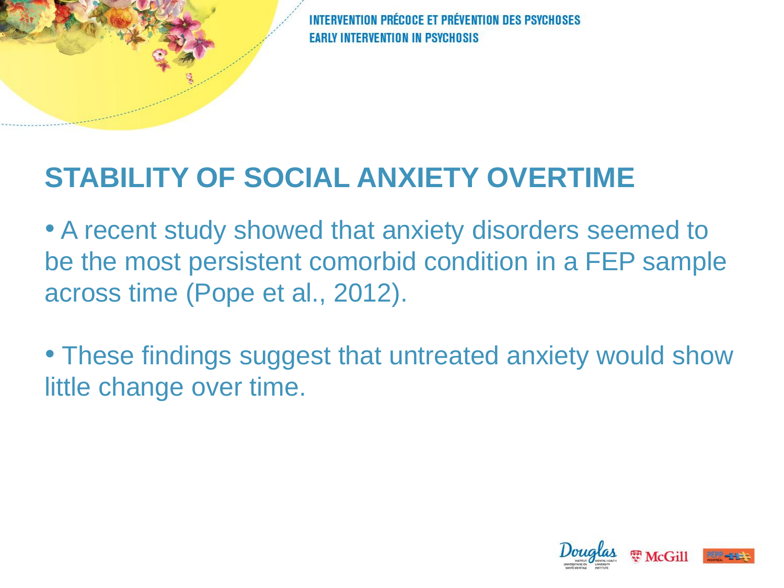#### **STABILITY OF SOCIAL ANXIETY OVERTIME**

• A recent study showed that anxiety disorders seemed to be the most persistent comorbid condition in a FEP sample across time (Pope et al., 2012).

• These findings suggest that untreated anxiety would show little change over time.

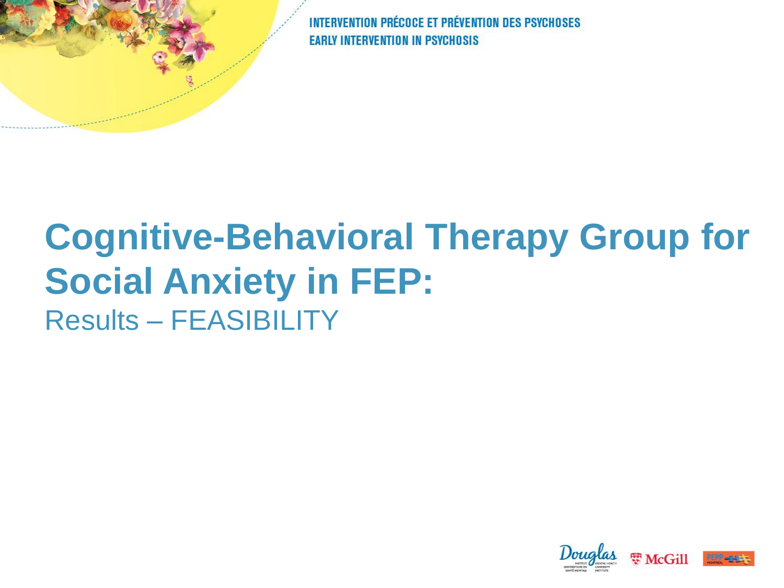# **Cognitive-Behavioral Therapy Group for Social Anxiety in FEP:**  Results – FEASIBILITY

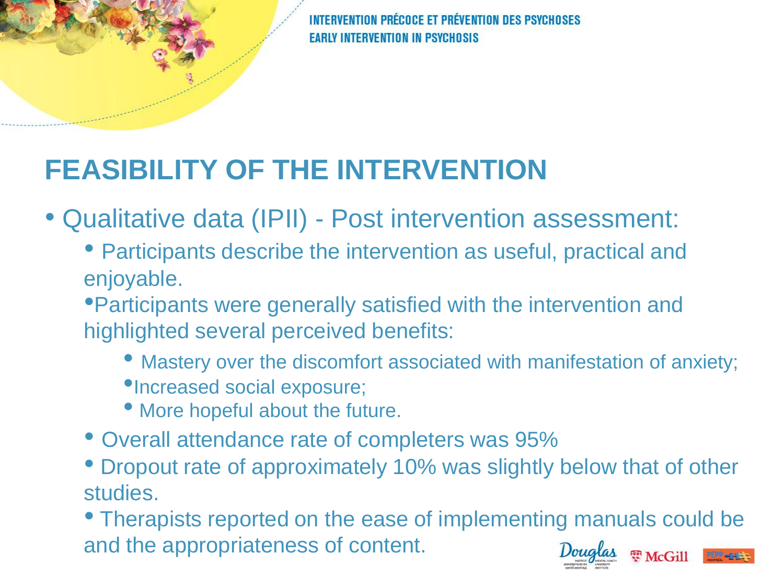## **FEASIBILITY OF THE INTERVENTION**

• Qualitative data (IPII) - Post intervention assessment:

• Participants describe the intervention as useful, practical and enjoyable.

•Participants were generally satisfied with the intervention and highlighted several perceived benefits:

- Mastery over the discomfort associated with manifestation of anxiety;
- •Increased social exposure;
- More hopeful about the future.
- Overall attendance rate of completers was 95%
- Dropout rate of approximately 10% was slightly below that of other studies.

• Therapists reported on the ease of implementing manuals could be and the appropriateness of content.需 McGill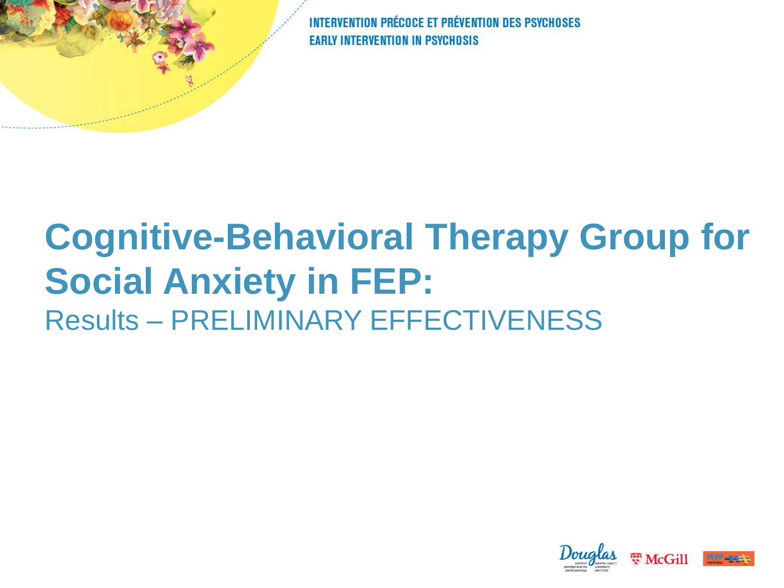# **Cognitive-Behavioral Therapy Group for Social Anxiety in FEP:**  Results – PRELIMINARY EFFECTIVENESS

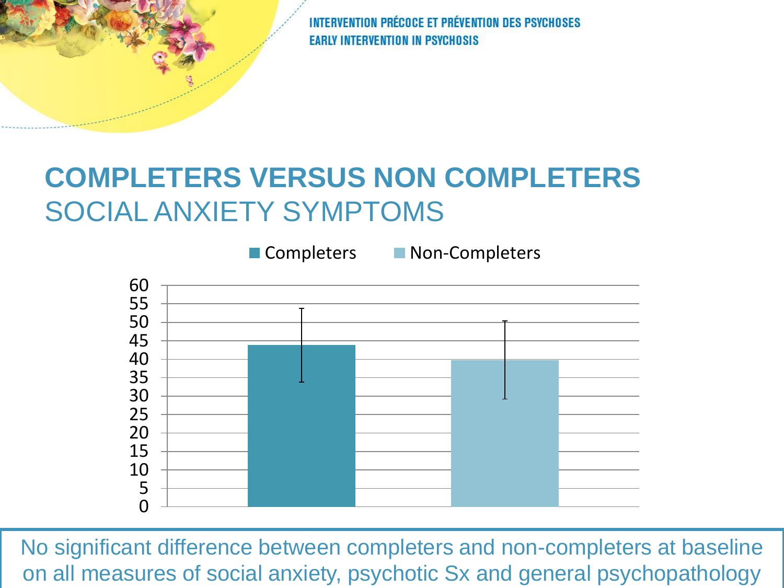#### **COMPLETERS VERSUS NON COMPLETERS** SOCIAL ANXIETY SYMPTOMS



No significant difference between completers and non-completers at baseline on all measures of social anxiety, psychotic Sx and general psychopathology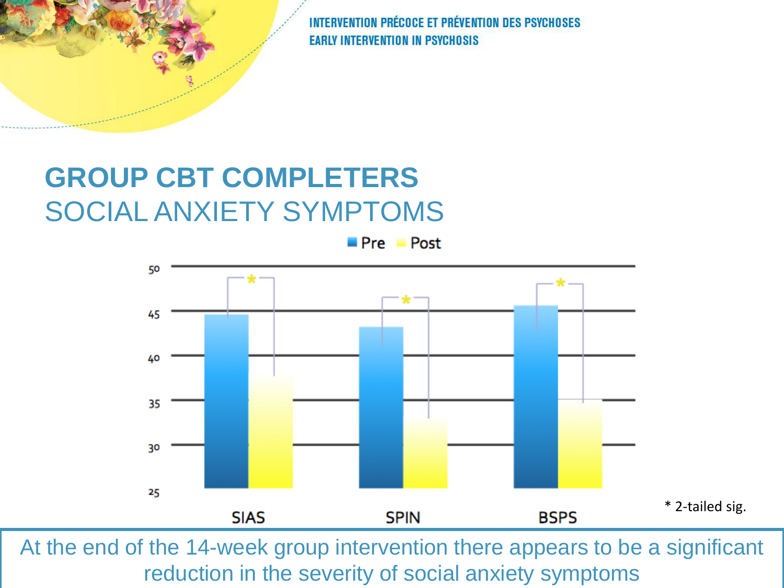#### **GROUP CBT COMPLETERS** SOCIAL ANXIETY SYMPTOMS

 $Pre$  Post



At the end of the 14-week group intervention there appears to be a significant reduction in the severity of social anxiety symptoms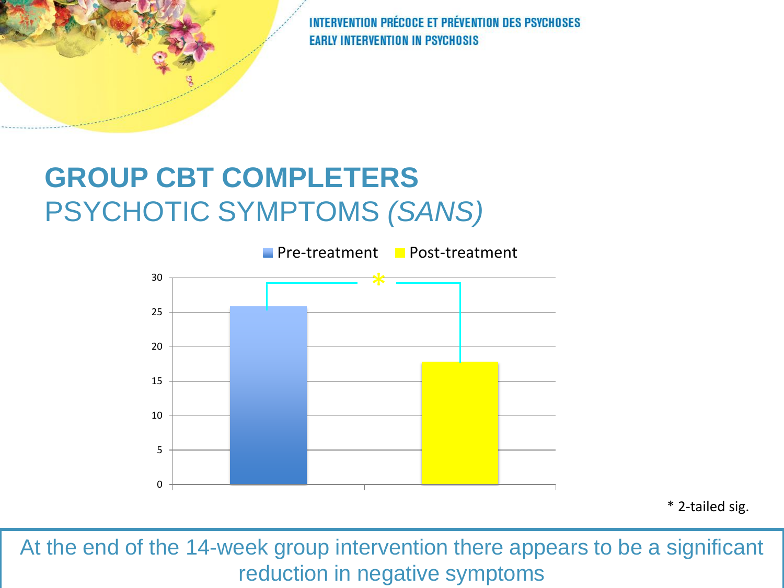#### **GROUP CBT COMPLETERS** PSYCHOTIC SYMPTOMS *(SANS)*



\* 2-tailed sig.

At the end of the 14-week group intervention there appears to be a significant reduction in negative symptoms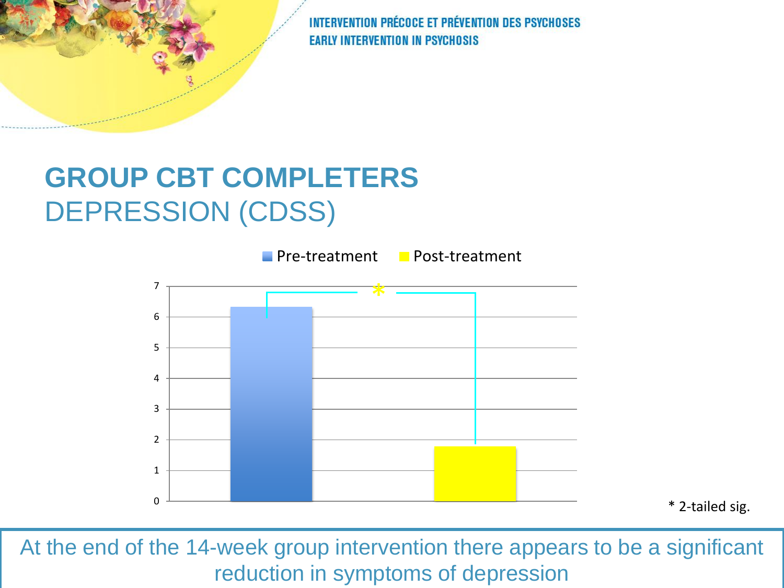#### **GROUP CBT COMPLETERS** DEPRESSION (CDSS)



At the end of the 14-week group intervention there appears to be a significant reduction in symptoms of depression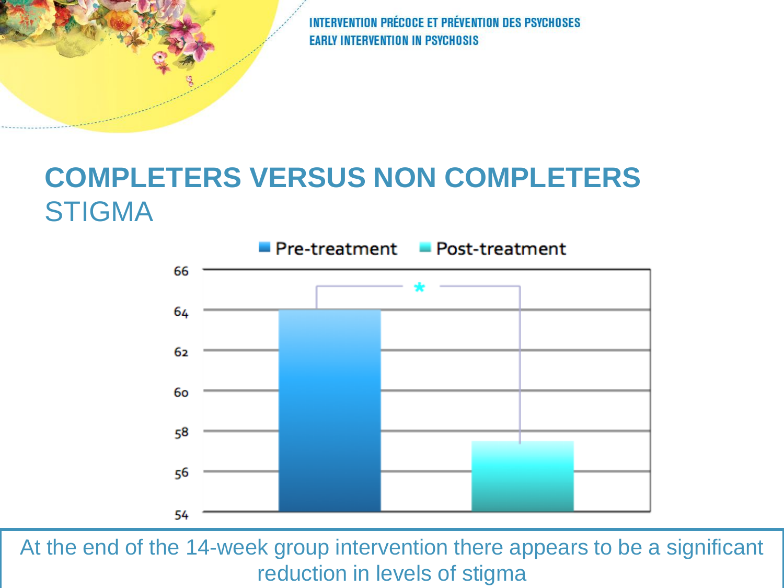#### **COMPLETERS VERSUS NON COMPLETERS** STIGMA



At the end of the 14-week group intervention there appears to be a significant reduction in levels of stigma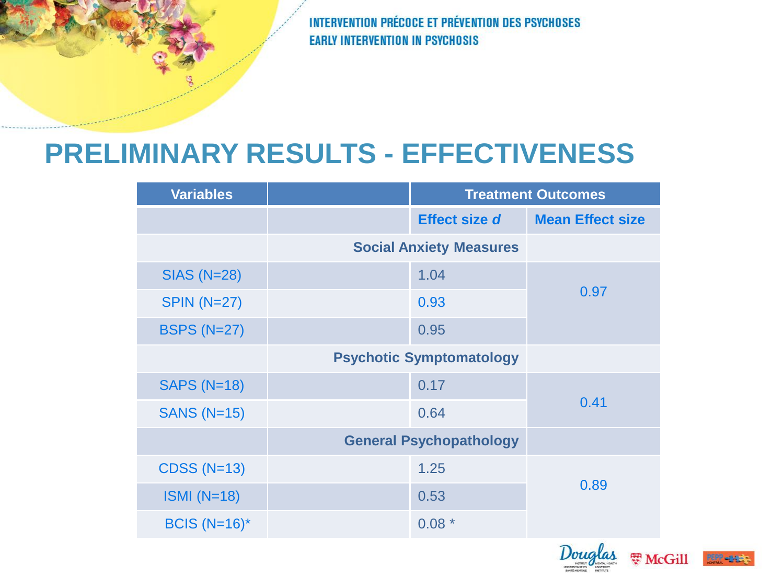#### **PRELIMINARY RESULTS - EFFECTIVENESS**

| <b>Variables</b>   |                                 | <b>Treatment Outcomes</b> |                         |
|--------------------|---------------------------------|---------------------------|-------------------------|
|                    |                                 | <b>Effect size d</b>      | <b>Mean Effect size</b> |
|                    | <b>Social Anxiety Measures</b>  |                           |                         |
| <b>SIAS (N=28)</b> |                                 | 1.04                      | 0.97                    |
| <b>SPIN (N=27)</b> |                                 | 0.93                      |                         |
| <b>BSPS (N=27)</b> |                                 | 0.95                      |                         |
|                    | <b>Psychotic Symptomatology</b> |                           |                         |
| <b>SAPS (N=18)</b> |                                 | 0.17                      | 0.41                    |
| <b>SANS (N=15)</b> |                                 | 0.64                      |                         |
|                    | <b>General Psychopathology</b>  |                           |                         |
| <b>CDSS (N=13)</b> |                                 | 1.25                      | 0.89                    |
| $ISMI (N=18)$      |                                 | 0.53                      |                         |
| BCIS $(N=16)^*$    |                                 | $0.08*$                   |                         |



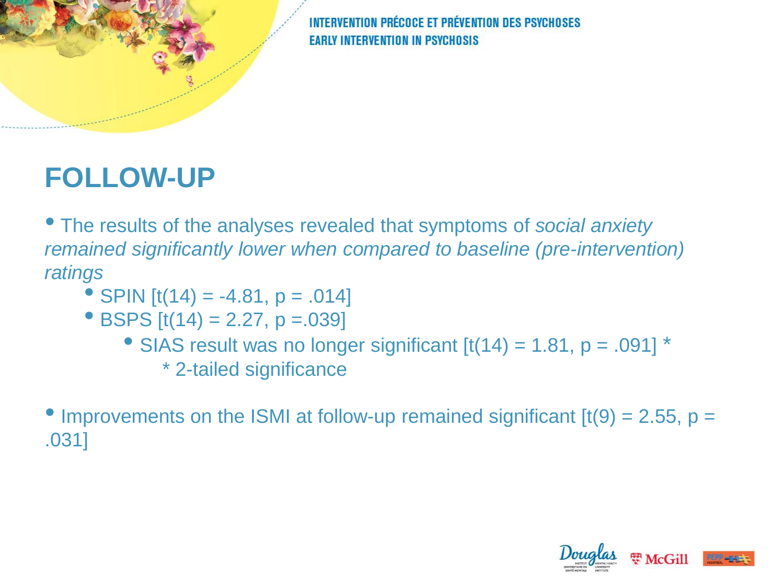#### **FOLLOW-UP**

• The results of the analyses revealed that symptoms of *social anxiety remained significantly lower when compared to baseline (pre-intervention) ratings*

- SPIN  $[t(14) = -4.81, p = .014]$
- BSPS  $[t(14) = 2.27, p = .039]$ 
	- SIAS result was no longer significant  $[t(14) = 1.81, p = .091]$ <sup>\*</sup> \* 2-tailed significance

• Improvements on the ISMI at follow-up remained significant  $[t(9) = 2.55, p =$ .031]

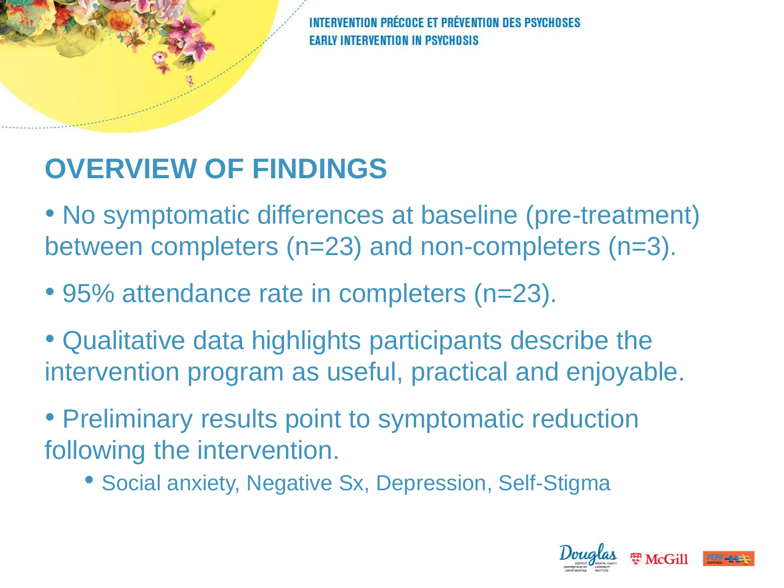## **OVERVIEW OF FINDINGS**

• No symptomatic differences at baseline (pre-treatment) between completers (n=23) and non-completers (n=3).

- 95% attendance rate in completers (n=23).
- Qualitative data highlights participants describe the intervention program as useful, practical and enjoyable.

• Preliminary results point to symptomatic reduction following the intervention.

• Social anxiety, Negative Sx, Depression, Self-Stigma

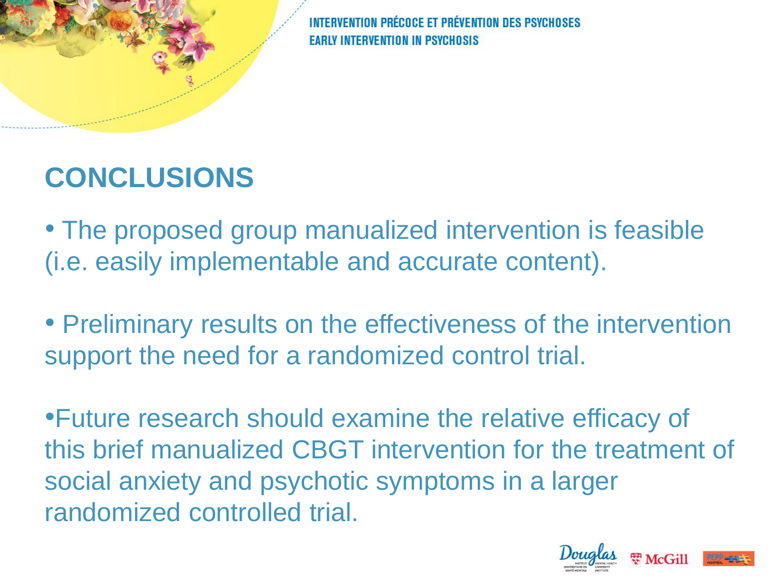**FT PRÉVENTION DES PSYCHO** 

#### **CONCLUSIONS**

• The proposed group manualized intervention is feasible (i.e. easily implementable and accurate content).

• Preliminary results on the effectiveness of the intervention support the need for a randomized control trial.

•Future research should examine the relative efficacy of this brief manualized CBGT intervention for the treatment of social anxiety and psychotic symptoms in a larger randomized controlled trial.